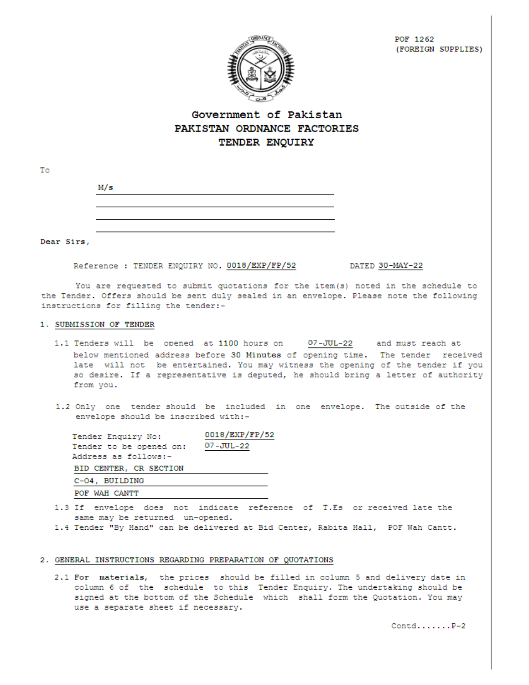

POF 1262 (FOREIGN SUPPLIES)

# Government of Pakistan PAKISTAN ORDNANCE FACTORIES TENDER ENQUIRY

| M/s |  |  |
|-----|--|--|
|     |  |  |
|     |  |  |
|     |  |  |
|     |  |  |

Dear Sirs,

To

Reference : TENDER ENQUIRY NO. 0018/EXP/FP/52

DATED 30-MAY-22

You are requested to submit quotations for the item(s) noted in the schedule to the Tender. Offers should be sent duly sealed in an envelope. Please note the following instructions for filling the tender:-

#### 1. SUBMISSION OF TENDER

- 1.1 Tenders will be opened at 1100 hours on 07-JUL-22 and must reach at below mentioned address before 30 Minutes of opening time. The tender received late will not be entertained. You may witness the opening of the tender if you so desire. If a representative is deputed, he should bring a letter of authority from you.
- 1.2 Only one tender should be included in one envelope. The outside of the envelope should be inscribed with:-

| Tender Enquiry No:      | 0018/EXP/FP/52 |
|-------------------------|----------------|
| Tender to be opened on: | 07-JUL-22      |
| Address as follows:-    |                |
| BID CENTER, CR SECTION  |                |
| C-04, BUILDING          |                |
| POF WAH CANTT           |                |

- 1.3 If envelope does not indicate reference of T.Es or received late the same may be returned un-opened.
- 1.4 Tender "By Hand" can be delivered at Bid Center, Rabita Hall, POF Wah Cantt.

#### 2. GENERAL INSTRUCTIONS REGARDING PREPARATION OF QUOTATIONS

2.1 For materials, the prices should be filled in column 5 and delivery date in column 6 of the schedule to this Tender Enquiry. The undertaking should be signed at the bottom of the Schedule which shall form the Quotation. You may use a separate sheet if necessary.

 $Contd$ ...... $P-2$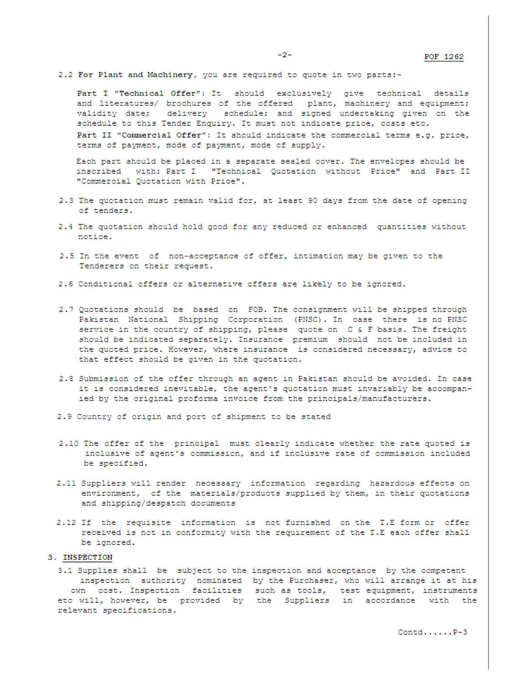2.2 For Plant and Machinery, you are required to quote in two parts:-

terms of payment, mode of payment, mode of supply.

Part I "Technical Offer": It should exclusively give technical details and literatures/ brochures of the offered plant, machinery and equipment; validity date; delivery schedule; and signed undertaking given on the schedule to this Tender Enquiry. It must not indicate price, costs etc. Part II "Commercial Offer": It should indicate the commercial terms e.g. price,

Each part should be placed in a separate sealed cover. The envelopes should be inscribed with: Part I "Technical Quotation without Price" and Part II "Commercial Quotation with Price".

- 2.3 The quotation must remain valid for, at least 90 days from the date of opening of tenders.
- 2.4 The quotation should hold good for any reduced or enhanced quantities without notice.
- 2.5 In the event of non-acceptance of offer, intimation may be given to the Tenderers on their request.
- 2.6 Conditional offers or alternative offers are likely to be ignored.
- 2.7 Quotations should be based on FOB. The consignment will be shipped through Pakistan National Shipping Corporation (PNSC). In case there is no PNSC service in the country of shipping, please quote on C & F basis. The freight should be indicated separately. Insurance premium should not be included in the quoted price. However, where insurance is considered necessary, advice to that effect should be given in the quotation.
- 2.8 Submission of the offer through an agent in Pakistan should be avoided. In case it is considered inevitable, the agent's quotation must invariably be accompanied by the original proforma invoice from the principals/manufacturers.
- 2.9 Country of origin and port of shipment to be stated
- 2.10 The offer of the principal must clearly indicate whether the rate quoted is inclusive of agent's commission, and if inclusive rate of commission included be specified.
- 2.11 Suppliers will render necessary information regarding hazardous effects on environment, of the materials/products supplied by them, in their quotations and shipping/despatch documents
- 2.12 If the requisite information is not furnished on the T.E form or offer received is not in conformity with the requirement of the T.E each offer shall be ignored.

#### 3. INSPECTION

3.1 Supplies shall be subject to the inspection and acceptance by the competent inspection authority nominated by the Purchaser, who will arrange it at his own cost. Inspection facilities such as tools, test equipment, instruments etc will, however, be provided by the Suppliers in accordance with the relevant specifications.

 $Contd...P-3$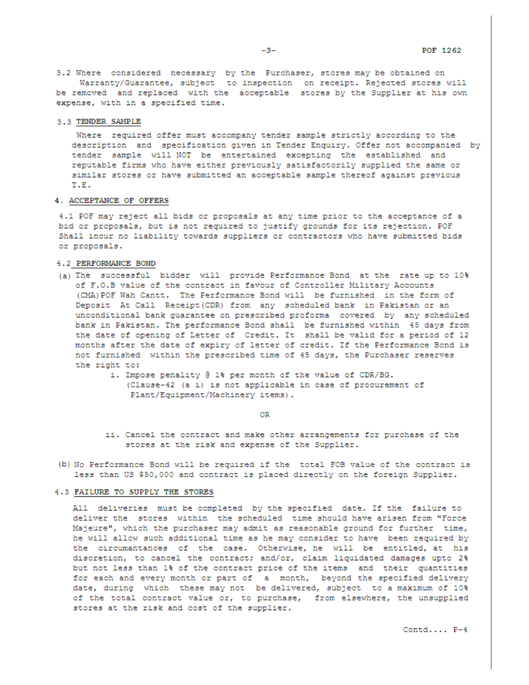3.2 Where considered necessary by the Purchaser, stores may be obtained on Warranty/Guarantee, subject to inspection on receipt. Rejected stores will be removed and replaced with the acceptable stores by the Supplier at his own expense, with in a specified time.

#### 3.3 TENDER SAMPLE

Where required offer must accompany tender sample strictly according to the description and specification given in Tender Enquiry. Offer not accompanied by tender sample will NOT be entertained excepting the established and reputable firms who have either previously satisfactorily supplied the same or similar stores or have submitted an acceptable sample thereof against previous T.E.

#### 4. ACCEPTANCE OF OFFERS

4.1 POF may reject all bids or proposals at any time prior to the acceptance of a bid or proposals, but is not required to justify grounds for its rejection. POF Shall incur no liability towards suppliers or contractors who have submitted bids or proposals.

#### 4.2 PERFORMANCE BOND

- (a) The successful bidder will provide Performance Bond at the rate up to 10% of F.O.B value of the contract in favour of Controller Military Accounts (CMA) POF Wah Cantt. The Performance Bond will be furnished in the form of Deposit At Call Receipt (CDR) from any scheduled bank in Pakistan or an unconditional bank guarantee on prescribed proforma covered by any scheduled bank in Pakistan. The performance Bond shall be furnished within 45 days from the date of opening of Letter of Credit. It shall be valid for a period of 12 months after the date of expiry of letter of credit. If the Performance Bond is not furnished within the prescribed time of 45 days, the Purchaser reserves the right to:
	- i. Impose penality @ 1% per month of the value of CDR/BG. (Clause-42 (a i) is not applicable in case of procurement of Plant/Equipment/Machinery items).

OR

- ii. Cancel the contract and make other arrangements for purchase of the stores at the risk and expense of the Supplier.
- (b) No Performance Bond will be required if the total FOB value of the contract is less than US \$50,000 and contract is placed directly on the foreign Supplier.

#### 4.3 FAILURE TO SUPPLY THE STORES

All deliveries must be completed by the specified date. If the failure to deliver the stores within the scheduled time should have arisen from "Force Majeure", which the purchaser may admit as reasonable ground for further time, he will allow such additional time as he may consider to have been required by the circumantances of the case. Otherwise, he will be entitled, at his discretion, to cancel the contract; and/or, claim liquidated damages upto 2% but not less than 1% of the contract price of the items and their quantities for each and every month or part of a month, beyond the specified delivery date, during which these may not be delivered, subject to a maximum of 10% of the total contract value or, to purchase, from elsewhere, the unsupplied stores at the risk and cost of the supplier.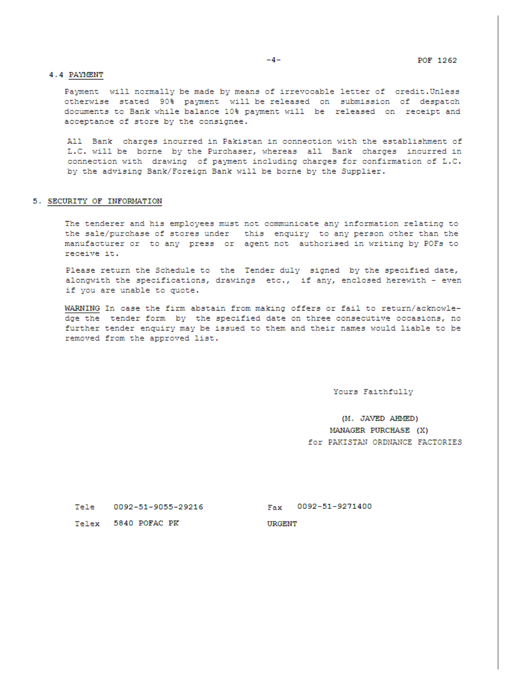#### 4.4 PAYMENT

Payment will normally be made by means of irrevocable letter of credit. Unless otherwise stated 90% payment will be released on submission of despatch documents to Bank while balance 10% payment will be released on receipt and acceptance of store by the consignee.

All Bank charges incurred in Pakistan in connection with the establishment of L.C. will be borne by the Purchaser, whereas all Bank charges incurred in connection with drawing of payment including charges for confirmation of L.C. by the advising Bank/Foreign Bank will be borne by the Supplier.

#### 5. SECURITY OF INFORMATION

The tenderer and his employees must not communicate any information relating to the sale/purchase of stores under this enquiry to any person other than the manufacturer or to any press or agent not authorised in writing by POFs to receive it.

Please return the Schedule to the Tender duly signed by the specified date, alongwith the specifications, drawings etc., if any, enclosed herewith - even if you are unable to quote.

WARNING In case the firm abstain from making offers or fail to return/acknowledge the tender form by the specified date on three consecutive occasions, no further tender enquiry may be issued to them and their names would liable to be removed from the approved list.

Yours Faithfully

(M. JAVED AHMED) MANAGER PURCHASE (X) for PAKISTAN ORDNANCE FACTORIES

Tele 0092-51-9055-29216

Fax 0092-51-9271400

Telex 5840 POFAC PK

**URGENT**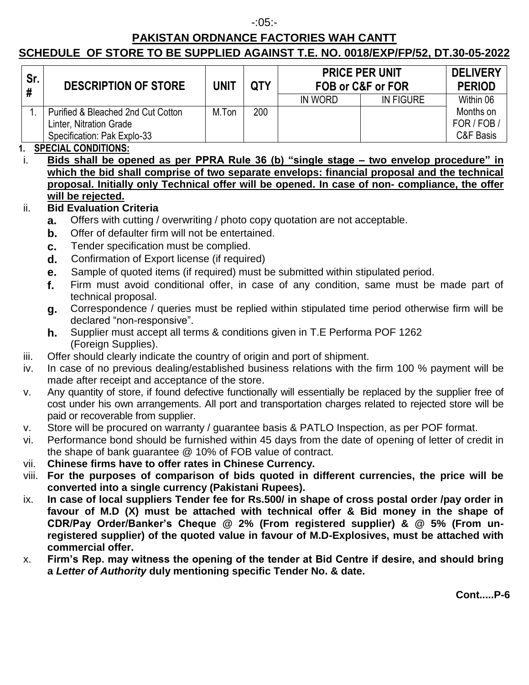### -:05:-

# **PAKISTAN ORDNANCE FACTORIES WAH CANTT**

# **SCHEDULE OF STORE TO BE SUPPLIED AGAINST T.E. NO. 0018/EXP/FP/52, DT.30-05-2022**

| Sr. | <b>DESCRIPTION OF STORE</b>                                                                  | UNIT  | <b>QTY</b> | <b>PRICE PER UNIT</b><br>FOB or C&F or FOR |                  | <b>DELIVERY</b><br><b>PERIOD</b>    |
|-----|----------------------------------------------------------------------------------------------|-------|------------|--------------------------------------------|------------------|-------------------------------------|
|     |                                                                                              |       |            | IN WORD                                    | <b>IN FIGURE</b> | Within 06                           |
|     | Purified & Bleached 2nd Cut Cotton<br>Linter, Nitration Grade<br>Specification: Pak Explo-33 | M.Ton | 200        |                                            |                  | Months on<br>FOR / FOB<br>C&F Basis |

### **1. SPECIAL CONDITIONS:**

i. **Bids shall be opened as per PPRA Rule 36 (b) "single stage – two envelop procedure" in which the bid shall comprise of two separate envelops: financial proposal and the technical proposal. Initially only Technical offer will be opened. In case of non- compliance, the offer will be rejected.**

# ii. **Bid Evaluation Criteria**

- **a.** Offers with cutting / overwriting / photo copy quotation are not acceptable.
- **b.** Offer of defaulter firm will not be entertained.
- **c.** Tender specification must be complied.
- **d.** Confirmation of Export license (if required)
- **e.** Sample of quoted items (if required) must be submitted within stipulated period.
- **f.** Firm must avoid conditional offer, in case of any condition, same must be made part of technical proposal.
- **g.** Correspondence / queries must be replied within stipulated time period otherwise firm will be declared "non-responsive".
- **h.** Supplier must accept all terms & conditions given in T.E Performa POF 1262 (Foreign Supplies).
- iii. Offer should clearly indicate the country of origin and port of shipment.
- iv. In case of no previous dealing/established business relations with the firm 100 % payment will be made after receipt and acceptance of the store.
- v. Any quantity of store, if found defective functionally will essentially be replaced by the supplier free of cost under his own arrangements. All port and transportation charges related to rejected store will be paid or recoverable from supplier.
- v. Store will be procured on warranty / guarantee basis & PATLO Inspection, as per POF format.
- vi. Performance bond should be furnished within 45 days from the date of opening of letter of credit in the shape of bank guarantee @ 10% of FOB value of contract.
- vii. **Chinese firms have to offer rates in Chinese Currency.**
- viii. **For the purposes of comparison of bids quoted in different currencies, the price will be converted into a single currency (Pakistani Rupees).**
- ix. **In case of local suppliers Tender fee for Rs.500/ in shape of cross postal order /pay order in favour of M.D (X) must be attached with technical offer & Bid money in the shape of CDR/Pay Order/Banker's Cheque @ 2% (From registered supplier) & @ 5% (From unregistered supplier) of the quoted value in favour of M.D-Explosives, must be attached with commercial offer.**
- x. **Firm's Rep. may witness the opening of the tender at Bid Centre if desire, and should bring a** *Letter of Authority* **duly mentioning specific Tender No. & date.**

**Cont.....P-6**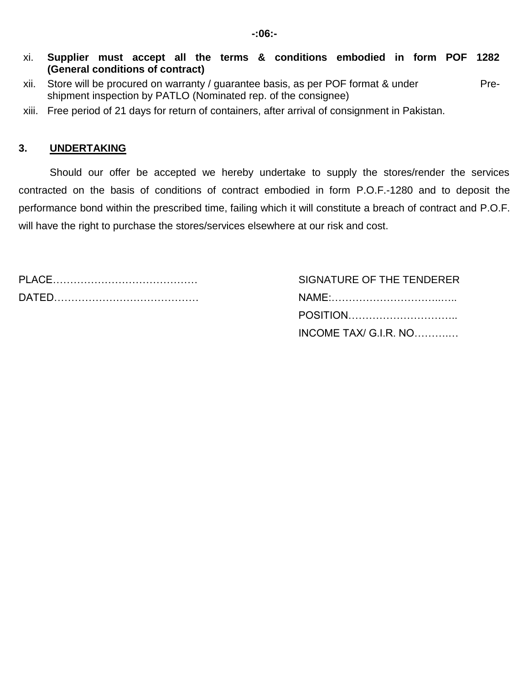- xi. **Supplier must accept all the terms & conditions embodied in form POF 1282 (General conditions of contract)**
- xii. Store will be procured on warranty / guarantee basis, as per POF format & under Preshipment inspection by PATLO (Nominated rep. of the consignee)
- xiii. Free period of 21 days for return of containers, after arrival of consignment in Pakistan.

### **3. UNDERTAKING**

Should our offer be accepted we hereby undertake to supply the stores/render the services contracted on the basis of conditions of contract embodied in form P.O.F.-1280 and to deposit the performance bond within the prescribed time, failing which it will constitute a breach of contract and P.O.F. will have the right to purchase the stores/services elsewhere at our risk and cost.

SIGNATURE OF THE TENDERER DATED…………………………………… NAME:…………………………..…..

| POSITION              |
|-----------------------|
| INCOME TAX/ G.I.R. NO |